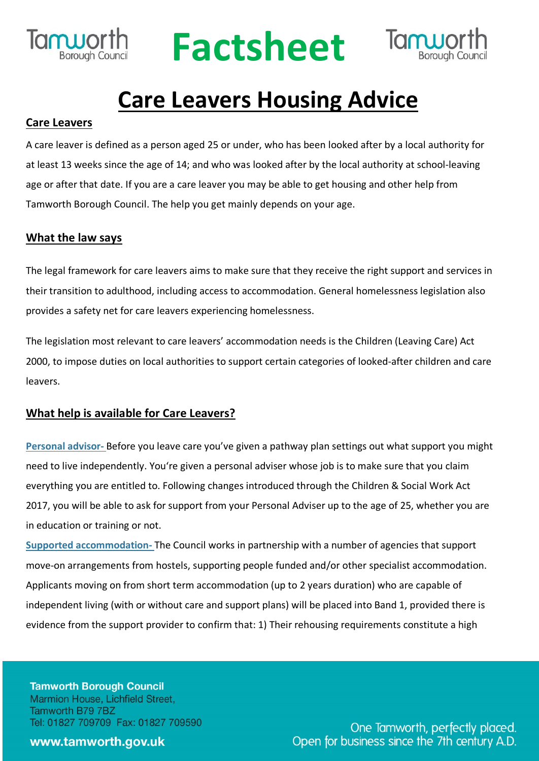

## **Factsheet**



### **Care Leavers Housing Advice**

#### **Care Leavers**

A care leaver is defined as a person aged 25 or under, who has been looked after by a local authority for at least 13 weeks since the age of 14; and who was looked after by the local authority at school-leaving age or after that date. If you are a care leaver you may be able to get housing and other help from Tamworth Borough Council. The help you get mainly depends on your age.

#### **What the law says**

The legal framework for care leavers aims to make sure that they receive the right support and services in their transition to adulthood, including access to accommodation. General homelessness legislation also provides a safety net for care leavers experiencing homelessness.

The legislation most relevant to care leavers' accommodation needs is the Children (Leaving Care) Act 2000, to impose duties on local authorities to support certain categories of looked-after children and care leavers.

#### **What help is available for Care Leavers?**

**Personal advisor-** Before you leave care you've given a pathway plan settings out what support you might need to live independently. You're given a personal adviser whose job is to make sure that you claim everything you are entitled to. Following changes introduced through the Children & Social Work Act 2017, you will be able to ask for support from your Personal Adviser up to the age of 25, whether you are in education or training or not.

**Supported accommodation-** The Council works in partnership with a number of agencies that support move-on arrangements from hostels, supporting people funded and/or other specialist accommodation. Applicants moving on from short term accommodation (up to 2 years duration) who are capable of independent living (with or without care and support plans) will be placed into Band 1, provided there is evidence from the support provider to confirm that: 1) Their rehousing requirements constitute a high

**Tamworth Borough Council** Marmion House, Lichfield Street, Tamworth B79 7BZ Tel: 01827 709709 Fax: 01827 709590

#### www.tamworth.gov.uk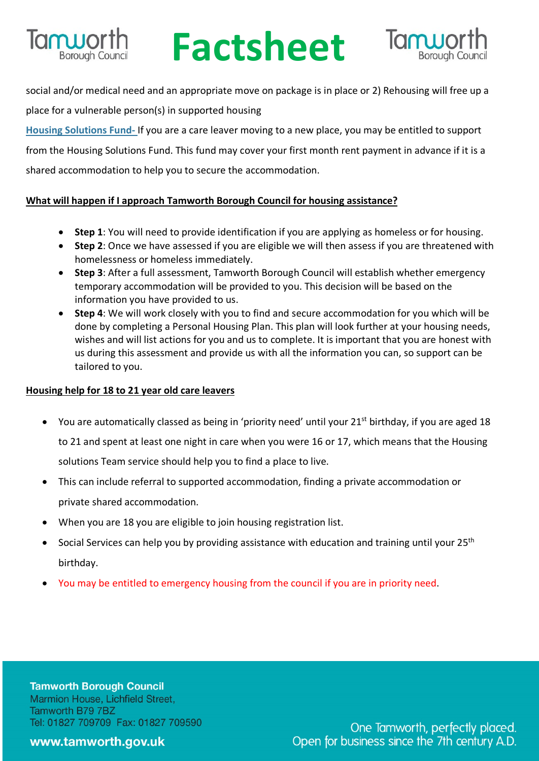

# **Factsheet Sheet** Tanuorth<br>
Social and/or medical need and an appropriate move on package is in place or 2) Rehousing will free up a



place for a vulnerable person(s) in supported housing

**Housing Solutions Fund-** If you are a care leaver moving to a new place, you may be entitled to support from the Housing Solutions Fund. This fund may cover your first month rent payment in advance if it is a shared accommodation to help you to secure the accommodation.

#### **What will happen if I approach Tamworth Borough Council for housing assistance?**

- **Step 1**: You will need to provide identification if you are applying as homeless or for housing.
- **Step 2**: Once we have assessed if you are eligible we will then assess if you are threatened with homelessness or homeless immediately.
- **Step 3**: After a full assessment, Tamworth Borough Council will establish whether emergency temporary accommodation will be provided to you. This decision will be based on the information you have provided to us.
- **Step 4**: We will work closely with you to find and secure accommodation for you which will be done by completing a Personal Housing Plan. This plan will look further at your housing needs, wishes and will list actions for you and us to complete. It is important that you are honest with us during this assessment and provide us with all the information you can, so support can be tailored to you.

#### **Housing help for 18 to 21 year old care leavers**

- You are automatically classed as being in 'priority need' until your 21<sup>st</sup> birthday, if you are aged 18 to 21 and spent at least one night in care when you were 16 or 17, which means that the Housing solutions Team service should help you to find a place to live.
- This can include referral to supported accommodation, finding a private accommodation or private shared accommodation.
- When you are 18 you are eligible to join housing registration list.
- Social Services can help you by providing assistance with education and training until your 25<sup>th</sup> birthday.
- You may be entitled to emergency housing from the council if you are in priority need.

**Tamworth Borough Council** Marmion House, Lichfield Street, Tamworth B79 7BZ Tel: 01827 709709 Fax: 01827 709590

www.tamworth.gov.uk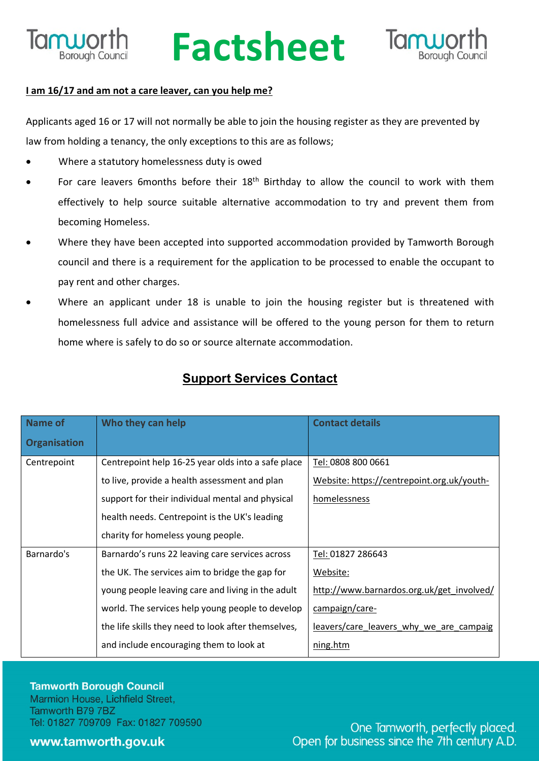

### **Ruporth Factsheet**



#### **I am 16/17 and am not a care leaver, can you help me?**

Applicants aged 16 or 17 will not normally be able to join the housing register as they are prevented by law from holding a tenancy, the only exceptions to this are as follows;

- Where a statutory homelessness duty is owed
- For care leavers 6months before their 18<sup>th</sup> Birthday to allow the council to work with them effectively to help source suitable alternative accommodation to try and prevent them from becoming Homeless.
- Where they have been accepted into supported accommodation provided by Tamworth Borough council and there is a requirement for the application to be processed to enable the occupant to pay rent and other charges.
- Where an applicant under 18 is unable to join the housing register but is threatened with homelessness full advice and assistance will be offered to the young person for them to return home where is safely to do so or source alternate accommodation.

| Name of             | Who they can help                                   | <b>Contact details</b>                     |
|---------------------|-----------------------------------------------------|--------------------------------------------|
| <b>Organisation</b> |                                                     |                                            |
| Centrepoint         | Centrepoint help 16-25 year olds into a safe place  | Tel: 0808 800 0661                         |
|                     | to live, provide a health assessment and plan       | Website: https://centrepoint.org.uk/youth- |
|                     | support for their individual mental and physical    | homelessness                               |
|                     | health needs. Centrepoint is the UK's leading       |                                            |
|                     | charity for homeless young people.                  |                                            |
| Barnardo's          | Barnardo's runs 22 leaving care services across     | Tel: 01827 286643                          |
|                     | the UK. The services aim to bridge the gap for      | Website:                                   |
|                     | young people leaving care and living in the adult   | http://www.barnardos.org.uk/get_involved/  |
|                     | world. The services help young people to develop    | campaign/care-                             |
|                     | the life skills they need to look after themselves, | leavers/care leavers why we are campaig    |
|                     | and include encouraging them to look at             | ning.htm                                   |

#### **Support Services Contact**

**Tamworth Borough Council** Marmion House, Lichfield Street, Tamworth B79 7BZ Tel: 01827 709709 Fax: 01827 709590

#### www.tamworth.gov.uk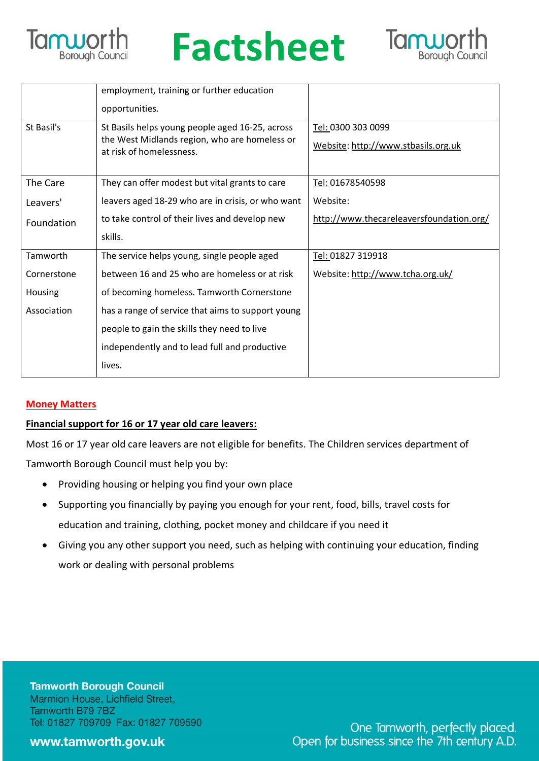

### **Factsheet**



|             | employment, training or further education                                 |                                          |
|-------------|---------------------------------------------------------------------------|------------------------------------------|
|             | opportunities.                                                            |                                          |
| St Basil's  | St Basils helps young people aged 16-25, across                           | Tel: 0300 303 0099                       |
|             | the West Midlands region, who are homeless or<br>at risk of homelessness. | Website: http://www.stbasils.org.uk      |
|             |                                                                           |                                          |
| The Care    | They can offer modest but vital grants to care                            | Tel: 01678540598                         |
| Leavers'    | leavers aged 18-29 who are in crisis, or who want                         | Website:                                 |
| Foundation  | to take control of their lives and develop new                            | http://www.thecareleaversfoundation.org/ |
|             | skills.                                                                   |                                          |
| Tamworth    | The service helps young, single people aged                               | Tel: 01827 319918                        |
| Cornerstone | between 16 and 25 who are homeless or at risk                             | Website: http://www.tcha.org.uk/         |
| Housing     | of becoming homeless. Tamworth Cornerstone                                |                                          |
| Association | has a range of service that aims to support young                         |                                          |
|             | people to gain the skills they need to live                               |                                          |
|             | independently and to lead full and productive                             |                                          |
|             | lives.                                                                    |                                          |

#### **Money Matters**

#### **Financial support for 16 or 17 year old care leavers:**

Most 16 or 17 year old care leavers are not eligible for benefits. The Children services department of Tamworth Borough Council must help you by:

- Providing housing or helping you find your own place
- Supporting you financially by paying you enough for your rent, food, bills, travel costs for education and training, clothing, pocket money and childcare if you need it
- Giving you any other support you need, such as helping with continuing your education, finding work or dealing with personal problems

**Tamworth Borough Council** Marmion House, Lichfield Street, Tamworth B79 7BZ Tel: 01827 709709 Fax: 01827 709590

www.tamworth.gov.uk